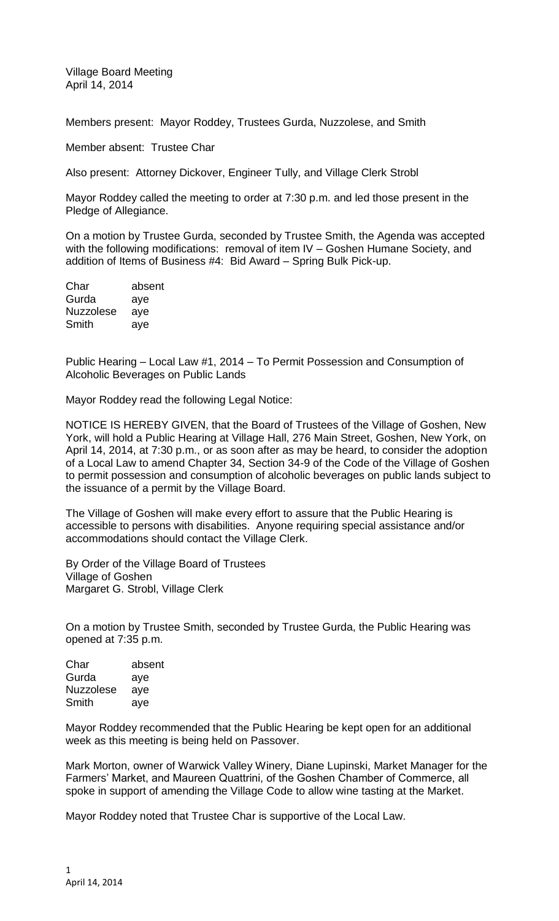Village Board Meeting April 14, 2014

Members present: Mayor Roddey, Trustees Gurda, Nuzzolese, and Smith

Member absent: Trustee Char

Also present: Attorney Dickover, Engineer Tully, and Village Clerk Strobl

Mayor Roddey called the meeting to order at 7:30 p.m. and led those present in the Pledge of Allegiance.

On a motion by Trustee Gurda, seconded by Trustee Smith, the Agenda was accepted with the following modifications: removal of item IV – Goshen Humane Society, and addition of Items of Business #4: Bid Award – Spring Bulk Pick-up.

| Char             | absent |
|------------------|--------|
| Gurda            | aye    |
| <b>Nuzzolese</b> | aye    |
| Smith            | aye    |

Public Hearing – Local Law #1, 2014 – To Permit Possession and Consumption of Alcoholic Beverages on Public Lands

Mayor Roddey read the following Legal Notice:

NOTICE IS HEREBY GIVEN, that the Board of Trustees of the Village of Goshen, New York, will hold a Public Hearing at Village Hall, 276 Main Street, Goshen, New York, on April 14, 2014, at 7:30 p.m., or as soon after as may be heard, to consider the adoption of a Local Law to amend Chapter 34, Section 34-9 of the Code of the Village of Goshen to permit possession and consumption of alcoholic beverages on public lands subject to the issuance of a permit by the Village Board.

The Village of Goshen will make every effort to assure that the Public Hearing is accessible to persons with disabilities. Anyone requiring special assistance and/or accommodations should contact the Village Clerk.

By Order of the Village Board of Trustees Village of Goshen Margaret G. Strobl, Village Clerk

On a motion by Trustee Smith, seconded by Trustee Gurda, the Public Hearing was opened at 7:35 p.m.

| absent |
|--------|
| aye    |
| aye    |
| aye    |
|        |

Mayor Roddey recommended that the Public Hearing be kept open for an additional week as this meeting is being held on Passover.

Mark Morton, owner of Warwick Valley Winery, Diane Lupinski, Market Manager for the Farmers' Market, and Maureen Quattrini, of the Goshen Chamber of Commerce, all spoke in support of amending the Village Code to allow wine tasting at the Market.

Mayor Roddey noted that Trustee Char is supportive of the Local Law.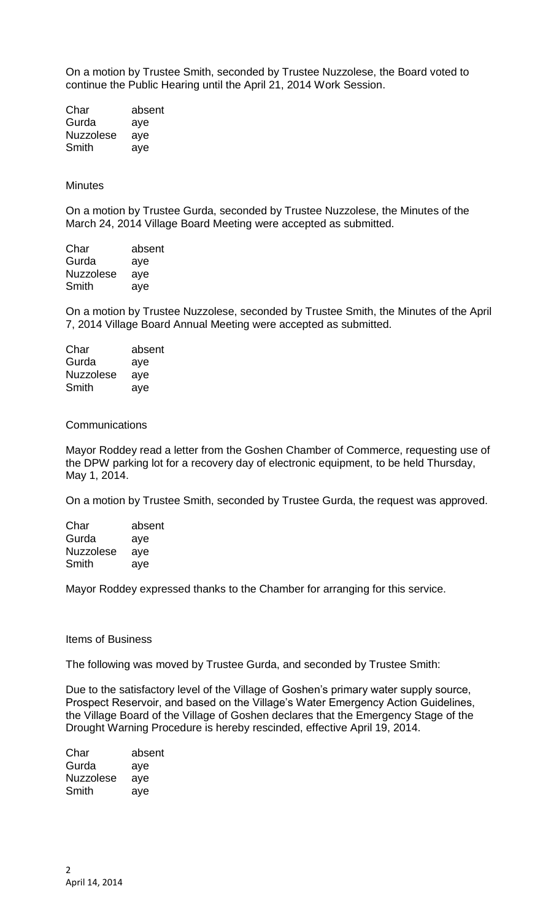On a motion by Trustee Smith, seconded by Trustee Nuzzolese, the Board voted to continue the Public Hearing until the April 21, 2014 Work Session.

Char absent Gurda aye Nuzzolese aye Smith aye

### **Minutes**

On a motion by Trustee Gurda, seconded by Trustee Nuzzolese, the Minutes of the March 24, 2014 Village Board Meeting were accepted as submitted.

| Char             | absent |
|------------------|--------|
| Gurda            | aye    |
| <b>Nuzzolese</b> | aye    |
| Smith            | aye    |
|                  |        |

On a motion by Trustee Nuzzolese, seconded by Trustee Smith, the Minutes of the April 7, 2014 Village Board Annual Meeting were accepted as submitted.

| absent |
|--------|
| aye    |
| aye    |
| aye    |
|        |

### **Communications**

Mayor Roddey read a letter from the Goshen Chamber of Commerce, requesting use of the DPW parking lot for a recovery day of electronic equipment, to be held Thursday, May 1, 2014.

On a motion by Trustee Smith, seconded by Trustee Gurda, the request was approved.

| Char             | absent |
|------------------|--------|
| Gurda            | aye    |
| <b>Nuzzolese</b> | aye    |
| Smith            | ave    |

Mayor Roddey expressed thanks to the Chamber for arranging for this service.

#### Items of Business

The following was moved by Trustee Gurda, and seconded by Trustee Smith:

Due to the satisfactory level of the Village of Goshen's primary water supply source, Prospect Reservoir, and based on the Village's Water Emergency Action Guidelines, the Village Board of the Village of Goshen declares that the Emergency Stage of the Drought Warning Procedure is hereby rescinded, effective April 19, 2014.

| Char             | absent |
|------------------|--------|
| Gurda            | aye    |
| <b>Nuzzolese</b> | aye    |
| Smith            | ave    |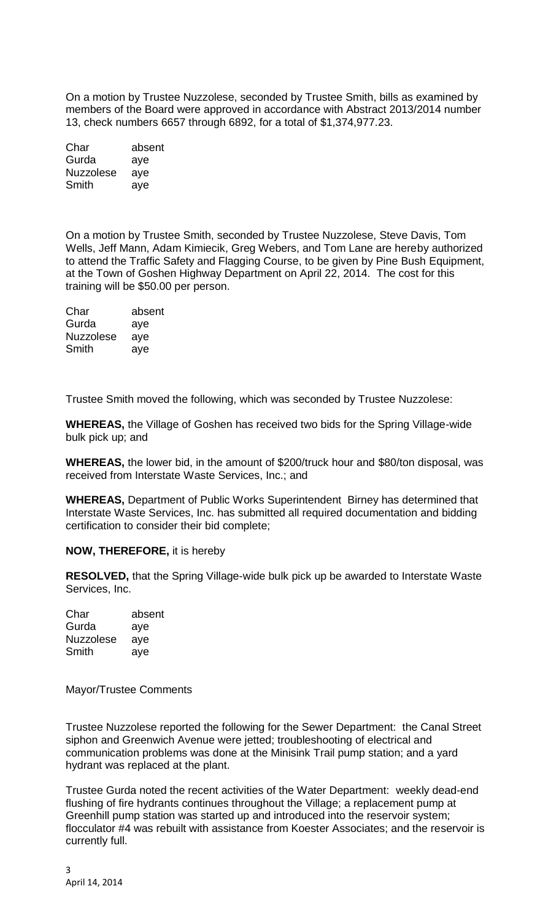On a motion by Trustee Nuzzolese, seconded by Trustee Smith, bills as examined by members of the Board were approved in accordance with Abstract 2013/2014 number 13, check numbers 6657 through 6892, for a total of \$1,374,977.23.

| Char             | absent |
|------------------|--------|
| Gurda            | aye    |
| <b>Nuzzolese</b> | aye    |
| Smith            | aye    |

On a motion by Trustee Smith, seconded by Trustee Nuzzolese, Steve Davis, Tom Wells, Jeff Mann, Adam Kimiecik, Greg Webers, and Tom Lane are hereby authorized to attend the Traffic Safety and Flagging Course, to be given by Pine Bush Equipment, at the Town of Goshen Highway Department on April 22, 2014. The cost for this training will be \$50.00 per person.

| Char             | absent |
|------------------|--------|
| Gurda            | aye    |
| <b>Nuzzolese</b> | aye    |
| Smith            | ave    |

Trustee Smith moved the following, which was seconded by Trustee Nuzzolese:

**WHEREAS,** the Village of Goshen has received two bids for the Spring Village-wide bulk pick up; and

**WHEREAS,** the lower bid, in the amount of \$200/truck hour and \$80/ton disposal, was received from Interstate Waste Services, Inc.; and

**WHEREAS,** Department of Public Works Superintendent Birney has determined that Interstate Waste Services, Inc. has submitted all required documentation and bidding certification to consider their bid complete;

# **NOW, THEREFORE,** it is hereby

**RESOLVED,** that the Spring Village-wide bulk pick up be awarded to Interstate Waste Services, Inc.

Char absent Gurda aye Nuzzolese aye Smith aye

# Mayor/Trustee Comments

Trustee Nuzzolese reported the following for the Sewer Department: the Canal Street siphon and Greenwich Avenue were jetted; troubleshooting of electrical and communication problems was done at the Minisink Trail pump station; and a yard hydrant was replaced at the plant.

Trustee Gurda noted the recent activities of the Water Department: weekly dead-end flushing of fire hydrants continues throughout the Village; a replacement pump at Greenhill pump station was started up and introduced into the reservoir system; flocculator #4 was rebuilt with assistance from Koester Associates; and the reservoir is currently full.